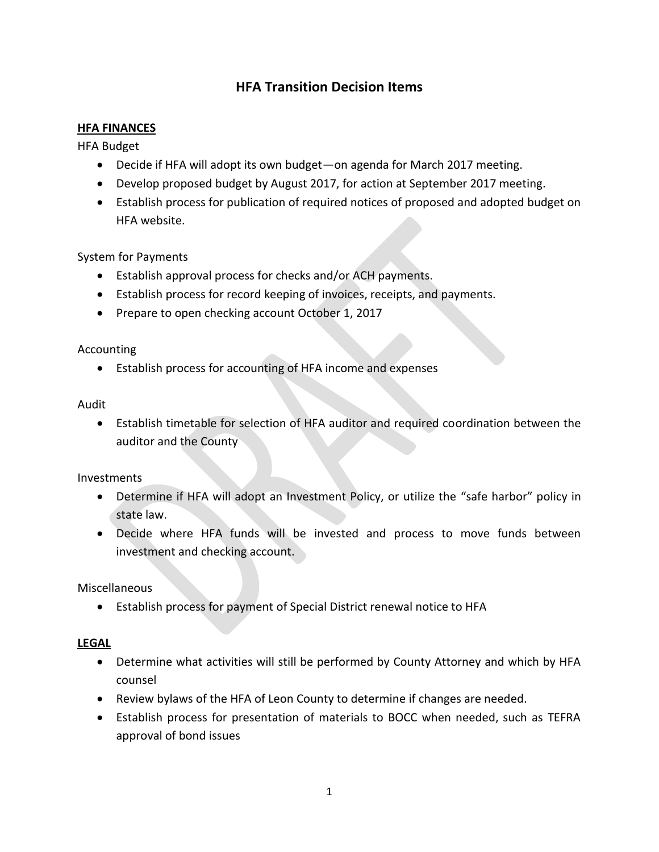# **HFA Transition Decision Items**

### **HFA FINANCES**

HFA Budget

- Decide if HFA will adopt its own budget—on agenda for March 2017 meeting.
- Develop proposed budget by August 2017, for action at September 2017 meeting.
- Establish process for publication of required notices of proposed and adopted budget on HFA website.

### System for Payments

- Establish approval process for checks and/or ACH payments.
- Establish process for record keeping of invoices, receipts, and payments.
- Prepare to open checking account October 1, 2017

#### Accounting

Establish process for accounting of HFA income and expenses

#### Audit

 Establish timetable for selection of HFA auditor and required coordination between the auditor and the County

#### Investments

- Determine if HFA will adopt an Investment Policy, or utilize the "safe harbor" policy in state law.
- Decide where HFA funds will be invested and process to move funds between investment and checking account.

Miscellaneous

Establish process for payment of Special District renewal notice to HFA

### **LEGAL**

- Determine what activities will still be performed by County Attorney and which by HFA counsel
- Review bylaws of the HFA of Leon County to determine if changes are needed.
- Establish process for presentation of materials to BOCC when needed, such as TEFRA approval of bond issues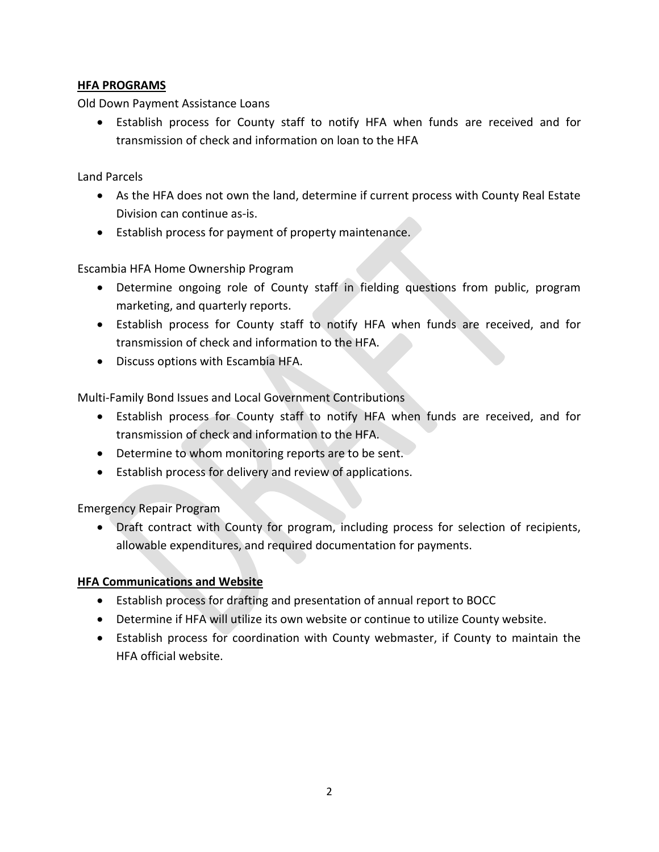# **HFA PROGRAMS**

Old Down Payment Assistance Loans

 Establish process for County staff to notify HFA when funds are received and for transmission of check and information on loan to the HFA

Land Parcels

- As the HFA does not own the land, determine if current process with County Real Estate Division can continue as-is.
- Establish process for payment of property maintenance.

Escambia HFA Home Ownership Program

- Determine ongoing role of County staff in fielding questions from public, program marketing, and quarterly reports.
- Establish process for County staff to notify HFA when funds are received, and for transmission of check and information to the HFA.
- Discuss options with Escambia HFA.

Multi-Family Bond Issues and Local Government Contributions

- Establish process for County staff to notify HFA when funds are received, and for transmission of check and information to the HFA.
- Determine to whom monitoring reports are to be sent.
- Establish process for delivery and review of applications.

Emergency Repair Program

 Draft contract with County for program, including process for selection of recipients, allowable expenditures, and required documentation for payments.

# **HFA Communications and Website**

- Establish process for drafting and presentation of annual report to BOCC
- Determine if HFA will utilize its own website or continue to utilize County website.
- Establish process for coordination with County webmaster, if County to maintain the HFA official website.